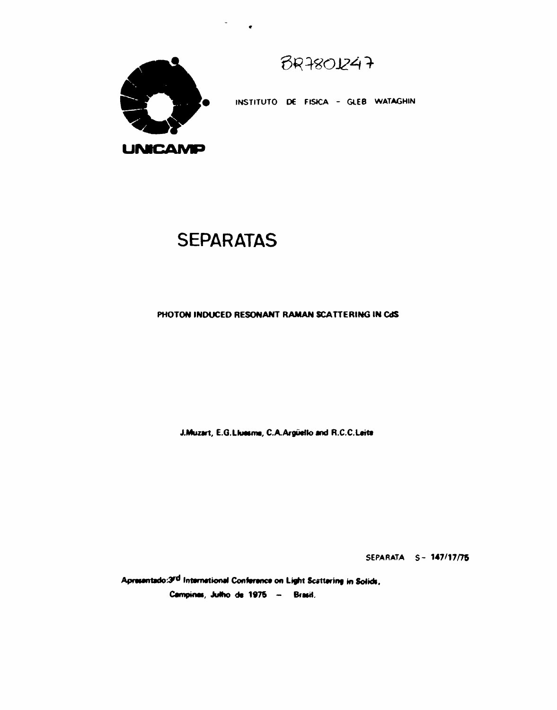$BRA801247$ 



INSTITUTO DE FISICA - GLEB WATAGHIN

## **SEPARATAS**

## PHOTON INDUCED RESONANT RAMAN SCATTERING IN CdS

J.Muzart, E.G.Liuesma, C.A.Argüello and R.C.C.Leite

SEPARATA S-147/17/75

Apresentado:3rd International Conference on Light Scattering in Solids, Campines, Julho de 1975 - Brasil.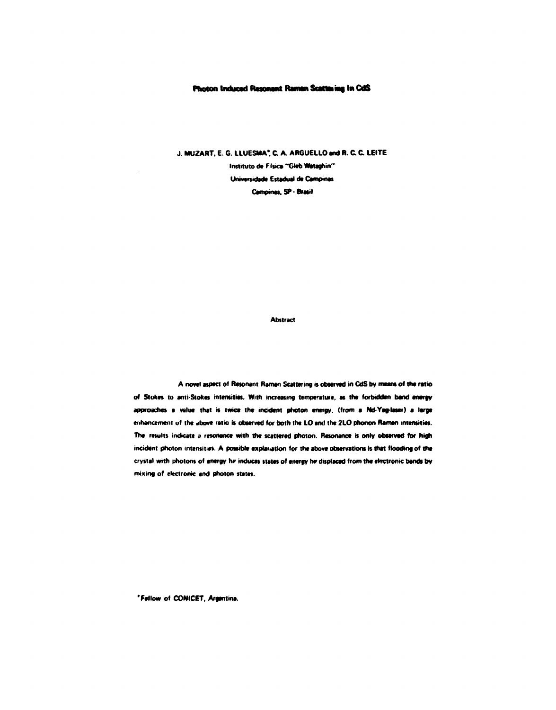## **Photon Induced Resonant Raman Scattaing In CdS**

**J. MUZART. E. G. LLUESMA\* C A. ARGUELLOand R. C C LEITE** 

**Instituto de Física "Gleb Wataghin" Universidade Estadual d» Campinas Campinas. SP-Brasil** 

**Abstract** 

**A novel aspect of Resonant Raman Scattering is observed in CdS by means of the ratio of Stokes to ami Stokes intensities. With increasing temperature, as the forbidden band energy approaches a value that is twice the incident photon energy, (from a Nd-Yag-leser) a large enhancement of the above ratio is observed for both the LO and the 21.0 phonon Raman intensities. The results indicate » resonance with the scattered photon. Resonance is only observed for high incident photon intensities. A possible explanation for the above observations is that flooding of the crystal with photons of energy Iw induces states of energy hr displaced from the electronic bands by mixing of electronic and photon states.** 

**'Fellow of CONICET, Argentina.**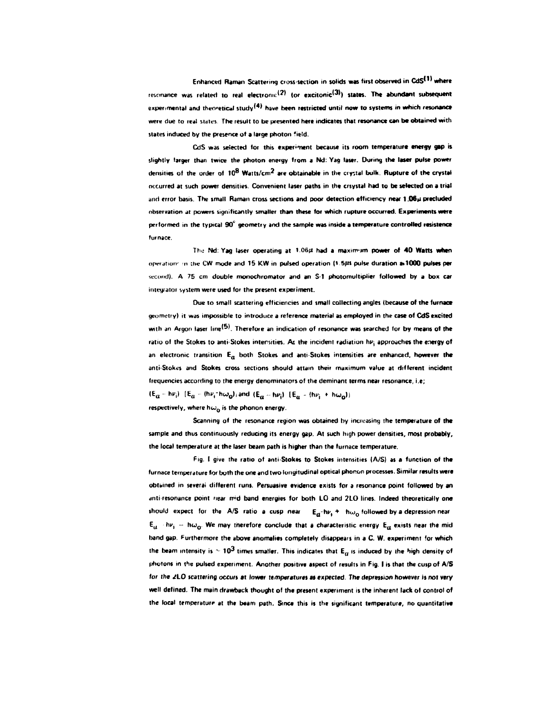Enhanced Raman Scattering cross-section in solids was first observed in CdS<sup>(1)</sup> where resonance was related to real electronic<sup>(2)</sup> (or excitonic<sup>(3)</sup>) states. The abundant subsequent experimental and theoretical study<sup>(4)</sup> have been restricted until now to systems in which resonance **were due to real slates The result to be presented here indicates that resonance can be obtained with states induced by the presence of a large photon field.** 

**CdS was selected for this experiment because its room temperature energy gap is slightly larger than twice the photon energy from a Nd: Yag laser. During the laser pulse power densities of the order of 10<sup>8</sup> Watts/cm<sup>2</sup> are obtainable in the crystal bulk. Rupture of the crystal occurred at such power densities. Convenient laser paths in the crsystal had to be selected on a trial and error basis. The small Raman cross sections and poor detection efficiency near 1.06»i precluded observation at powers significantly smaller than these for which rupture occurred. Experiments were performed in the typical 90° geometry and the sample was inside a temperature controlled reststence furnace.** 

The Nd: Yag laser operating at 1.06 $\mu$  had a maximum power of 40 Watts when operation: in the CW mode and 15 KW in pulsed operation (9.5µs pulse duration a 1000 pulses per **wcond). A 75 cm double monochromator and an S i photomultiplier followed by a box car integrator system were used for the present experiment.** 

**Due to small scattering efficiencies and small collecting angles (because of the furnace geometry) It was impossible to introduce a reference material as employed in the case of CdS excited**  with an Argon laser line<sup>(5)</sup>. Therefore an indication of resonance was searched for by means of the ratio of the Stokes to anti-Stokes intensities. As the incident radiation hv<sub>i</sub> approaches the energy of **an electronic transition EQ both Stokes and anti-Stokes intensities are enhanced, however the anti-Stokes and Stokes cross sections should attain their maximum value at different incident frequencies according to the energy denominators of the deminant terms near resonance, i.e;**   $(E_a - h\nu_i)$   $[E_a - (h\nu_i - h\omega_0)$ *i* and  $(E_a - h\nu_i)$   $[E_a - (h\nu_i + h\omega_0)]$ 

respectively, where  $h\omega_0$  is the phonon energy.

**Scanning of the resonance region was obtained by increasing the temperature of the sample and thus continuously reducing its energy gap. At such high power densities, most probably, the local temperature at the laser beam path is higher than the furnace temperature.** 

**Fig. I give the ratio of anti Stokes to Stokes intensities (A/S) as a function of the furnace temperature for both the one and two longitudinal optical phonon processes. Similar results were**  obtained in several different runs. Persuasive evidence exists for a resonance point followed by an anti resonance point riear mid band energies for both LO and 2LO lines. Indeed theoretically one should expect for the A/S ratio a cusp near  $E_a$ -h $\nu$ ,  $+$  h $\omega$ <sub>0</sub> followed by a depression near  $E_{tt}$   $\cdot$  h $\nu_i$   $\sim$  h $\omega_{0}$ . We may therefore conclude that a characteristic energy  $E_{tt}$  exists near the mid **band gap. furthermore the above anomalies completely disappears in a C. W. experiment for which**  the beam intensity is  $\sim 10^3$  times smaller. This indicates that  $E_{\alpha}$  is induced by the high density of **photons in the pulsed experiment. Another positive aspect of results in Fig. I is that the cusp of A/S for the <TL0 scattering occurs at lower temperatures at expected. The depression however is not very well defined. The main drawback thought of the present experiment is the inherent lack of control of the local temperature at the beam path. Since this is the significant temperature, no quantitative**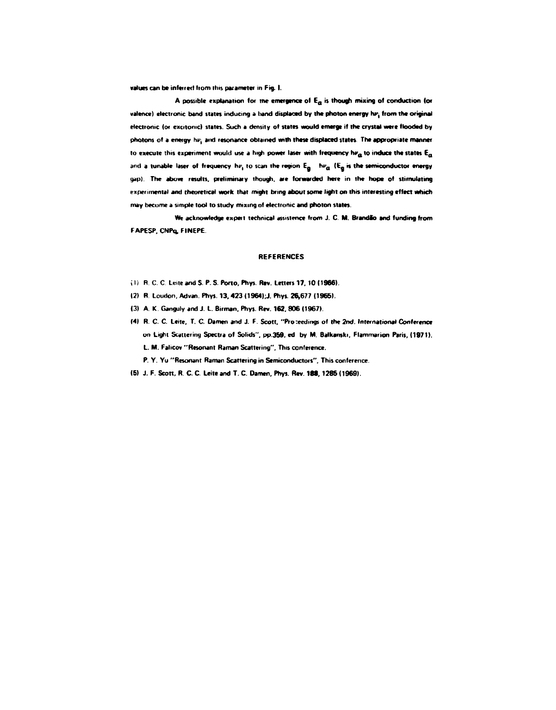**values can be inferred liom this parameter in Fig. I.** 

**A possible explanation for tne emergence of Ea is though mixing of conduction (or**  valence) electronic band states inducing a hand displaced by the photon energy hv<sub>i</sub> from the original **electronic (or excitonic) states. Such a density of states would emerge if the crystal were flooded by photons of a energy hvt and resonance obtained with these displaced states The appropriate manner**  to execute this experiment would use a high power laser with frequency  $h\nu_a$  to induce the states  $E_a$ and a tunable laser of frequency hv<sub>i</sub> to scan the region  $E_a - h\nu_a$  ( $E_a$  is the semiconductor energy **gap). The above results, preliminary though, are forwarded here in the hope of stimulating experimental and theoretical work that might bring about some light on this interesting effect which may become a simple tool to study mixing of electronic and photon states.** 

**We acknowledge expert technical assistence from J. C. M. Brandão and funding from FAPESP. CNPq, FINEPE** 

## **REFERENCES**

- **11) R. C. C Leite and S. P. S. Porto. Phys. Rev. Letter! 17. 10 (1966).**
- **12) R. Loudon. Ad van. Phys. 13.423 (1964); J. Phys. 26,677 (1965).**
- **(3) A. K. Ganguly and J. L. Birman. Phys. Rev. 162. 806 (1967)**
- **(4) R. C. C. Leite, T. C. Damen and J. F. Scott. "Proceedings of the 2nd. International Conference on Light Scattering Spectra of Solids", pp.359, ed by M. Balkanski, Flammarion Paris, (1971). L. M. Falicov "Resonant Raman Scattering", This conference.** 
	- **P. Y. Yu "Resonant Raman Scattering in Semiconductors". This conference.**
- (5) J. F. Scott, R. C. C. Leite and T. C. Damen, Phys. Rev. 188, 1285 (1969).